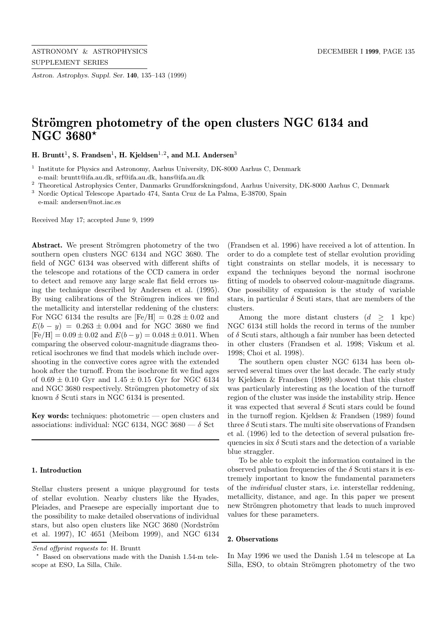*Astron. Astrophys. Suppl. Ser.* **140**, 135–143 (1999)

# **Strömgren photometry of the open clusters NGC 6134 and NGC 3680***?*

**H. Bruntt<sup>1</sup>, S. Frandsen<sup>1</sup>, <b>H. Kieldsen**<sup>1,2</sup>, and M.I. Andersen<sup>3</sup>

<sup>1</sup> Institute for Physics and Astronomy, Aarhus University, DK-8000 Aarhus C, Denmark e-mail: bruntt@ifa.au.dk, srf@ifa.au.dk, hans@ifa.au.dk

 $^{\rm 2}$  Theoretical Astrophysics Center, Danmarks Grundforskningsfond, Aarhus University, DK-8000 Aarhus C, Denmark

<sup>3</sup> Nordic Optical Telescope Apartado 474, Santa Cruz de La Palma, E-38700, Spain

e-mail: andersen@not.iac.es

Received May 17; accepted June 9, 1999

Abstract. We present Strömgren photometry of the two southern open clusters NGC 6134 and NGC 3680. The field of NGC 6134 was observed with different shifts of the telescope and rotations of the CCD camera in order to detect and remove any large scale flat field errors using the technique described by Andersen et al. (1995). By using calibrations of the Strömgren indices we find the metallicity and interstellar reddening of the clusters: For NGC 6134 the results are  $[Fe/H] = 0.28 \pm 0.02$  and  $E(b - y) = 0.263 \pm 0.004$  and for NGC 3680 we find  $[Fe/H] = 0.09 \pm 0.02$  and  $E(b - y) = 0.048 \pm 0.011$ . When comparing the observed colour-magnitude diagrams theoretical isochrones we find that models which include overshooting in the convective cores agree with the extended hook after the turnoff. From the isochrone fit we find ages of  $0.69 \pm 0.10$  Gyr and  $1.45 \pm 0.15$  Gyr for NGC 6134 and NGC 3680 respectively. Strömgren photometry of six known  $\delta$  Scuti stars in NGC 6134 is presented.

**Key words:** techniques: photometric — open clusters and associations: individual: NGC 6134, NGC 3680  $- \delta$  Sct

# **1. Introduction**

Stellar clusters present a unique playground for tests of stellar evolution. Nearby clusters like the Hyades, Pleiades, and Praesepe are especially important due to the possibility to make detailed observations of individual stars, but also open clusters like NGC 3680 (Nordström et al. 1997), IC 4651 (Meibom 1999), and NGC 6134

(Frandsen et al. 1996) have received a lot of attention. In order to do a complete test of stellar evolution providing tight constraints on stellar models, it is necessary to expand the techniques beyond the normal isochrone fitting of models to observed colour-magnitude diagrams. One possibility of expansion is the study of variable stars, in particular  $\delta$  Scuti stars, that are members of the clusters.

Among the more distant clusters  $(d > 1$  kpc) NGC 6134 still holds the record in terms of the number of  $\delta$  Scuti stars, although a fair number has been detected in other clusters (Frandsen et al. 1998; Viskum et al. 1998; Choi et al. 1998).

The southern open cluster NGC 6134 has been observed several times over the last decade. The early study by Kjeldsen & Frandsen (1989) showed that this cluster was particularly interesting as the location of the turnoff region of the cluster was inside the instability strip. Hence it was expected that several  $\delta$  Scuti stars could be found in the turnoff region. Kjeldsen & Frandsen (1989) found three  $\delta$  Scuti stars. The multi site observations of Frandsen et al. (1996) led to the detection of several pulsation frequencies in six  $\delta$  Scuti stars and the detection of a variable blue straggler.

To be able to exploit the information contained in the observed pulsation frequencies of the  $\delta$  Scuti stars it is extremely important to know the fundamental parameters of the individual cluster stars, i.e. interstellar reddening, metallicity, distance, and age. In this paper we present new Strömgren photometry that leads to much improved values for these parameters.

#### **2. Observations**

In May 1996 we used the Danish 1.54 m telescope at La Silla, ESO, to obtain Strömgren photometry of the two

Send offprint requests to: H. Bruntt

<sup>?</sup> Based on observations made with the Danish 1.54-m telescope at ESO, La Silla, Chile.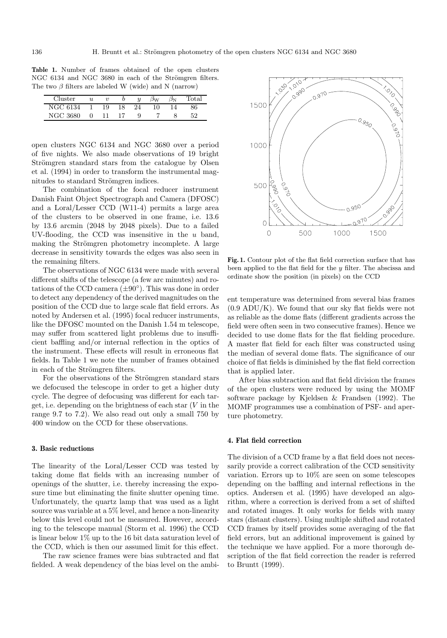**Table 1.** Number of frames obtained of the open clusters NGC 6134 and NGC 3680 in each of the Strömgren filters. The two  $\beta$  filters are labeled W (wide) and N (narrow)

| Cluster  | и |    |    | $\boldsymbol{u}$ | ۱w | $_{\rm Total}$ |
|----------|---|----|----|------------------|----|----------------|
| NGC 6134 |   | 19 | 18 | 24               | 10 | 36-            |
| NGC 3680 |   |    |    |                  |    | ະດ             |

open clusters NGC 6134 and NGC 3680 over a period of five nights. We also made observations of 19 bright Strömgren standard stars from the catalogue by Olsen et al. (1994) in order to transform the instrumental magnitudes to standard Strömgren indices.

The combination of the focal reducer instrument Danish Faint Object Spectrograph and Camera (DFOSC) and a Loral/Lesser CCD (W11-4) permits a large area of the clusters to be observed in one frame, i.e. 13.6 by 13.6 arcmin (2048 by 2048 pixels). Due to a failed UV-flooding, the CCD was insensitive in the  $u$  band, making the Strömgren photometry incomplete. A large decrease in sensitivity towards the edges was also seen in the remaining filters.

The observations of NGC 6134 were made with several different shifts of the telescope (a few arc minutes) and rotations of the CCD camera  $(\pm 90^{\circ})$ . This was done in order to detect any dependency of the derived magnitudes on the position of the CCD due to large scale flat field errors. As noted by Andersen et al. (1995) focal reducer instruments, like the DFOSC mounted on the Danish 1.54 m telescope, may suffer from scattered light problems due to insufficient baffling and/or internal reflection in the optics of the instrument. These effects will result in erroneous flat fields. In Table 1 we note the number of frames obtained in each of the Strömgren filters.

For the observations of the Strömgren standard stars we defocused the telescope in order to get a higher duty cycle. The degree of defocusing was different for each target, i.e. depending on the brightness of each star  $(V$  in the range 9.7 to 7.2). We also read out only a small 750 by 400 window on the CCD for these observations.

# **3. Basic reductions**

The linearity of the Loral/Lesser CCD was tested by taking dome flat fields with an increasing number of openings of the shutter, i.e. thereby increasing the exposure time but eliminating the finite shutter opening time. Unfortunately, the quartz lamp that was used as a light source was variable at a 5% level, and hence a non-linearity below this level could not be measured. However, according to the telescope manual (Storm et al. 1996) the CCD is linear below 1% up to the 16 bit data saturation level of the CCD, which is then our assumed limit for this effect.

The raw science frames were bias subtracted and flat fielded. A weak dependency of the bias level on the ambi-



**Fig. 1.** Contour plot of the flat field correction surface that has been applied to the flat field for the y filter. The abscissa and ordinate show the position (in pixels) on the CCD

ent temperature was determined from several bias frames (0.9 ADU/K). We found that our sky flat fields were not as reliable as the dome flats (different gradients across the field were often seen in two consecutive frames). Hence we decided to use dome flats for the flat fielding procedure. A master flat field for each filter was constructed using the median of several dome flats. The significance of our choice of flat fields is diminished by the flat field correction that is applied later.

After bias subtraction and flat field division the frames of the open clusters were reduced by using the MOMF software package by Kjeldsen & Frandsen (1992). The MOMF programmes use a combination of PSF- and aperture photometry.

# **4. Flat field correction**

The division of a CCD frame by a flat field does not necessarily provide a correct calibration of the CCD sensitivity variation. Errors up to 10% are seen on some telescopes depending on the baffling and internal reflections in the optics. Andersen et al. (1995) have developed an algorithm, where a correction is derived from a set of shifted and rotated images. It only works for fields with many stars (distant clusters). Using multiple shifted and rotated CCD frames by itself provides some averaging of the flat field errors, but an additional improvement is gained by the technique we have applied. For a more thorough description of the flat field correction the reader is referred to Bruntt (1999).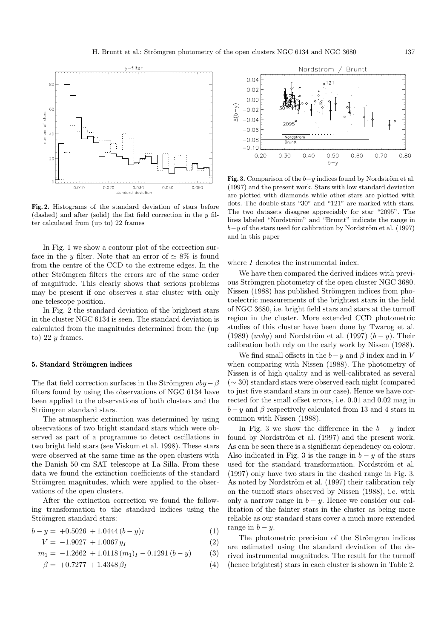

**Fig. 2.** Histograms of the standard deviation of stars before (dashed) and after (solid) the flat field correction in the  $y$  filter calculated from (up to) 22 frames

In Fig. 1 we show a contour plot of the correction surface in the y filter. Note that an error of  $\simeq 8\%$  is found from the centre of the CCD to the extreme edges. In the other Strömgren filters the errors are of the same order of magnitude. This clearly shows that serious problems may be present if one observes a star cluster with only one telescope position.

In Fig. 2 the standard deviation of the brightest stars in the cluster NGC 6134 is seen. The standard deviation is calculated from the magnitudes determined from the (up to) 22  $y$  frames.

## **5. Standard Strömgren indices**

The flat field correction surfaces in the Strömgren  $vby - \beta$ filters found by using the observations of NGC 6134 have been applied to the observations of both clusters and the Strömgren standard stars.

The atmospheric extinction was determined by using observations of two bright standard stars which were observed as part of a programme to detect oscillations in two bright field stars (see Viskum et al. 1998). These stars were observed at the same time as the open clusters with the Danish 50 cm SAT telescope at La Silla. From these data we found the extinction coefficients of the standard Strömgren magnitudes, which were applied to the observations of the open clusters.

After the extinction correction we found the following transformation to the standard indices using the Strömgren standard stars:

$$
b - y = +0.5026 + 1.0444 (b - y)_I
$$
 (1)

$$
V = -1.9027 + 1.0067 y_I \tag{2}
$$

$$
m_1 = -1.2662 + 1.0118 \, (m_1)_I - 0.1291 \, (b - y) \tag{3}
$$

$$
\beta = +0.7277 + 1.4348 \,\beta_I \tag{4}
$$



**Fig. 3.** Comparison of the  $b-y$  indices found by Nordström et al. (1997) and the present work. Stars with low standard deviation are plotted with diamonds while other stars are plotted with dots. The double stars "30" and "121" are marked with stars. The two datasets disagree appreciably for star "2095". The lines labeled "Nordström" and "Bruntt" indicate the range in  $b-y$  of the stars used for calibration by Nordström et al. (1997) and in this paper

where I denotes the instrumental index.

We have then compared the derived indices with previous Strömgren photometry of the open cluster NGC 3680. Nissen (1988) has published Strömgren indices from photoelectric measurements of the brightest stars in the field of NGC 3680, i.e. bright field stars and stars at the turnoff region in the cluster. More extended CCD photometric studies of this cluster have been done by Twarog et al. (1989)  $(uvby)$  and Nordström et al. (1997)  $(b - y)$ . Their calibration both rely on the early work by Nissen (1988).

We find small offsets in the  $b-y$  and  $\beta$  index and in V when comparing with Nissen (1988). The photometry of Nissen is of high quality and is well-calibrated as several (∼ 30) standard stars were observed each night (compared to just five standard stars in our case). Hence we have corrected for the small offset errors, i.e. 0.01 and 0.02 mag in  $b - y$  and  $\beta$  respectively calculated from 13 and 4 stars in common with Nissen (1988).

In Fig. 3 we show the difference in the  $b - y$  index found by Nordström et al. (1997) and the present work. As can be seen there is a significant dependency on colour. Also indicated in Fig. 3 is the range in  $b - y$  of the stars used for the standard transformation. Nordström et al. (1997) only have two stars in the dashed range in Fig. 3. As noted by Nordström et al. (1997) their calibration rely on the turnoff stars observed by Nissen (1988), i.e. with only a narrow range in  $b - y$ . Hence we consider our calibration of the fainter stars in the cluster as being more reliable as our standard stars cover a much more extended range in  $b - y$ .

The photometric precision of the Strömgren indices are estimated using the standard deviation of the derived instrumental magnitudes. The result for the turnoff (hence brightest) stars in each cluster is shown in Table 2.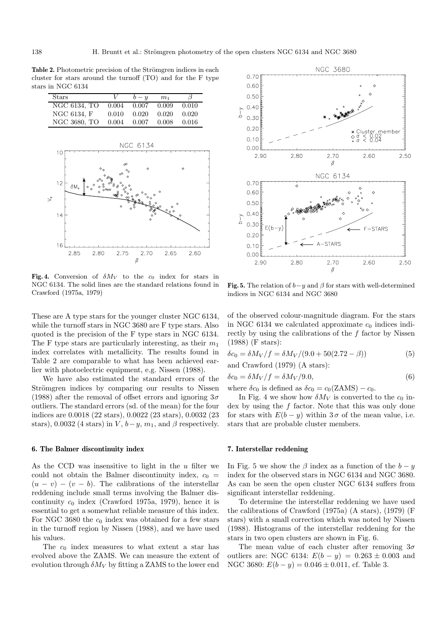Table 2. Photometric precision of the Strömgren indices in each cluster for stars around the turnoff (TO) and for the F type stars in NGC 6134

| Stars        |       | $b - y$ | m <sub>1</sub> | β     |
|--------------|-------|---------|----------------|-------|
| NGC 6134, TO | 0.004 | 0.007   | 0.009          | 0.010 |
| NGC 6134, F  | 0.010 | 0.020   | 0.020          | 0.020 |
| NGC 3680, TO | 0.004 | 0.007   | 0.008          | 0.016 |



**Fig. 4.** Conversion of  $\delta M_V$  to the  $c_0$  index for stars in NGC 6134. The solid lines are the standard relations found in Crawford (1975a, 1979)

These are A type stars for the younger cluster NGC 6134, while the turnoff stars in NGC 3680 are F type stars. Also quoted is the precision of the F type stars in NGC 6134. The F type stars are particularly interesting, as their  $m_1$ index correlates with metallicity. The results found in Table 2 are comparable to what has been achieved earlier with photoelectric equipment, e.g. Nissen (1988).

We have also estimated the standard errors of the Strömgren indices by comparing our results to Nissen (1988) after the removal of offset errors and ignoring  $3\sigma$ outliers. The standard errors (sd. of the mean) for the four indices are 0.0018 (22 stars), 0.0022 (23 stars), 0.0032 (23 stars), 0.0032 (4 stars) in V,  $b-y$ ,  $m_1$ , and  $\beta$  respectively.

# **6. The Balmer discontinuity index**

As the CCD was insensitive to light in the  $u$  filter we could not obtain the Balmer discontinuity index,  $c_0$  =  $(u - v) - (v - b)$ . The calibrations of the interstellar reddening include small terms involving the Balmer discontinuity  $c_0$  index (Crawford 1975a, 1979), hence it is essential to get a somewhat reliable measure of this index. For NGC 3680 the  $c_0$  index was obtained for a few stars in the turnoff region by Nissen (1988), and we have used his values.

The  $c_0$  index measures to what extent a star has evolved above the ZAMS. We can measure the extent of evolution through  $\delta M_V$  by fitting a ZAMS to the lower end



**Fig. 5.** The relation of  $b-y$  and  $\beta$  for stars with well-determined indices in NGC 6134 and NGC 3680

of the observed colour-magnitude diagram. For the stars in NGC 6134 we calculated approximate  $c_0$  indices indirectly by using the calibrations of the  $f$  factor by Nissen (1988) (F stars):

$$
\delta c_0 = \delta M_V / f = \delta M_V / (9.0 + 50(2.72 - \beta))
$$
\n(5)

and Crawford (1979) (A stars):

$$
\delta c_0 = \delta M_V / f = \delta M_V / 9.0,\tag{6}
$$

where  $\delta c_0$  is defined as  $\delta c_0 = c_0(ZAMS) - c_0$ .

In Fig. 4 we show how  $\delta M_V$  is converted to the  $c_0$  index by using the f factor. Note that this was only done for stars with  $E(b - y)$  within 3  $\sigma$  of the mean value, i.e. stars that are probable cluster members.

## **7. Interstellar reddening**

In Fig. 5 we show the  $\beta$  index as a function of the  $b - y$ index for the observed stars in NGC 6134 and NGC 3680. As can be seen the open cluster NGC 6134 suffers from significant interstellar reddening.

To determine the interstellar reddening we have used the calibrations of Crawford (1975a) (A stars), (1979) (F stars) with a small correction which was noted by Nissen (1988). Histograms of the interstellar reddening for the stars in two open clusters are shown in Fig. 6.

The mean value of each cluster after removing  $3\sigma$ outliers are: NGC 6134:  $E(b - y) = 0.263 \pm 0.003$  and NGC 3680:  $E(b - y) = 0.046 \pm 0.011$ , cf. Table 3.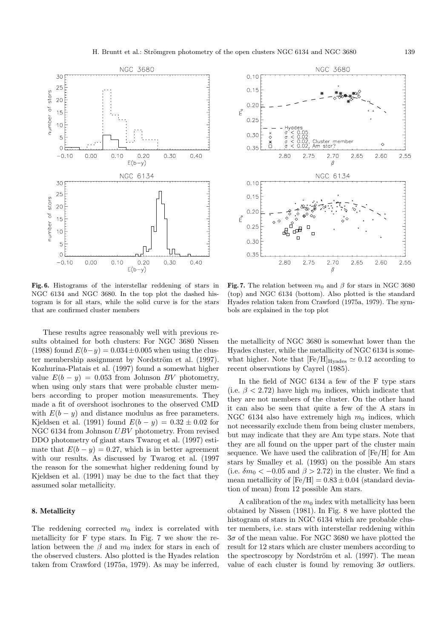

**Fig. 6.** Histograms of the interstellar reddening of stars in NGC 6134 and NGC 3680. In the top plot the dashed histogram is for all stars, while the solid curve is for the stars that are confirmed cluster members

These results agree reasonably well with previous results obtained for both clusters: For NGC 3680 Nissen (1988) found  $E(b-y)=0.034\pm0.005$  when using the cluster membership assignment by Nordström et al. (1997). Kozhurina-Platais et al. (1997) found a somewhat higher value  $E(b - y) = 0.053$  from Johnson BV photometry, when using only stars that were probable cluster members according to proper motion measurements. They made a fit of overshoot isochrones to the observed CMD with  $E(b - y)$  and distance modulus as free parameters. Kjeldsen et al. (1991) found  $E(b - y) = 0.32 \pm 0.02$  for NGC 6134 from Johnson UBV photometry. From revised DDO photometry of giant stars Twarog et al. (1997) estimate that  $E(b - y) = 0.27$ , which is in better agreement with our results. As discussed by Twarog et al. (1997 the reason for the somewhat higher reddening found by Kjeldsen et al. (1991) may be due to the fact that they assumed solar metallicity.

## **8. Metallicity**

The reddening corrected  $m_0$  index is correlated with metallicity for F type stars. In Fig. 7 we show the relation between the  $\beta$  and  $m_0$  index for stars in each of the observed clusters. Also plotted is the Hyades relation taken from Crawford (1975a, 1979). As may be inferred,



**Fig. 7.** The relation between  $m_0$  and  $\beta$  for stars in NGC 3680 (top) and NGC 6134 (bottom). Also plotted is the standard Hyades relation taken from Crawford (1975a, 1979). The symbols are explained in the top plot

the metallicity of NGC 3680 is somewhat lower than the Hyades cluster, while the metallicity of NGC 6134 is somewhat higher. Note that  $[Fe/H]_{\text{Hyades}} \simeq 0.12$  according to recent observations by Cayrel (1985).

In the field of NGC 6134 a few of the F type stars (i.e.  $\beta$  < 2.72) have high  $m_0$  indices, which indicate that they are not members of the cluster. On the other hand it can also be seen that quite a few of the A stars in NGC 6134 also have extremely high  $m_0$  indices, which not necessarily exclude them from being cluster members, but may indicate that they are Am type stars. Note that they are all found on the upper part of the cluster main sequence. We have used the calibration of [Fe/H] for Am stars by Smalley et al. (1993) on the possible Am stars (i.e.  $\delta m_0 < -0.05$  and  $\beta > 2.72$ ) in the cluster. We find a mean metallicity of  $[Fe/H] = 0.83 \pm 0.04$  (standard deviation of mean) from 12 possible Am stars.

A calibration of the  $m_0$  index with metallicity has been obtained by Nissen (1981). In Fig. 8 we have plotted the histogram of stars in NGC 6134 which are probable cluster members, i.e. stars with interstellar reddening within  $3\sigma$  of the mean value. For NGC 3680 we have plotted the result for 12 stars which are cluster members according to the spectroscopy by Nordström et al. (1997). The mean value of each cluster is found by removing  $3\sigma$  outliers.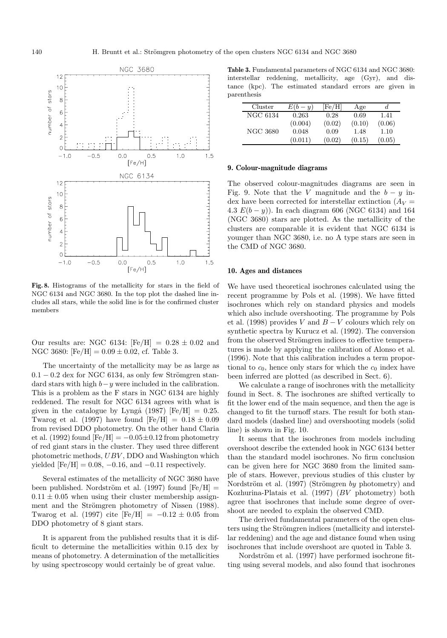

**Fig. 8.** Histograms of the metallicity for stars in the field of NGC 6134 and NGC 3680. In the top plot the dashed line includes all stars, while the solid line is for the confirmed cluster members

Our results are: NGC 6134:  $[Fe/H] = 0.28 \pm 0.02$  and NGC 3680:  $[Fe/H] = 0.09 \pm 0.02$ , cf. Table 3.

The uncertainty of the metallicity may be as large as  $0.1 - 0.2$  dex for NGC 6134, as only few Strömgren standard stars with high  $b-y$  were included in the calibration. This is a problem as the F stars in NGC 6134 are highly reddened. The result for NGC 6134 agrees with what is given in the catalogue by Lyngå (1987) [Fe/H] = 0.25. Twarog et al. (1997) have found  $[Fe/H] = 0.18 \pm 0.09$ from revised DDO photometry. On the other hand Claria et al. (1992) found  $[Fe/H] = -0.05 \pm 0.12$  from photometry of red giant stars in the cluster. They used three different photometric methods, UBV , DDO and Washington which yielded  $[Fe/H] = 0.08, -0.16,$  and  $-0.11$  respectively.

Several estimates of the metallicity of NGC 3680 have been published. Nordström et al. (1997) found  $[Fe/H] =$  $0.11 \pm 0.05$  when using their cluster membership assignment and the Strömgren photometry of Nissen (1988). Twarog et al. (1997) cite  $[Fe/H] = -0.12 \pm 0.05$  from DDO photometry of 8 giant stars.

It is apparent from the published results that it is difficult to determine the metallicities within 0.15 dex by means of photometry. A determination of the metallicities by using spectroscopy would certainly be of great value.

**Table 3.** Fundamental parameters of NGC 6134 and NGC 3680: interstellar reddening, metallicity, age (Gyr), and distance (kpc). The estimated standard errors are given in parenthesis

| Cluster  | $E(b-y)$ | [Fe/H] | Age    | d.     |
|----------|----------|--------|--------|--------|
| NGC 6134 | 0.263    | 0.28   | 0.69   | 1.41   |
|          | (0.004)  | (0.02) | (0.10) | (0.06) |
| NGC 3680 | 0.048    | 0.09   | 1.48   | 1.10   |
|          | (0.011)  | (0.02) | (0.15) | (0.05) |

#### **9. Colour-magnitude diagrams**

The observed colour-magnitudes diagrams are seen in Fig. 9. Note that the V magnitude and the  $b - y$  index have been corrected for interstellar extinction  $(A_V =$ 4.3  $E(b - y)$ ). In each diagram 606 (NGC 6134) and 164 (NGC 3680) stars are plotted. As the metallicity of the clusters are comparable it is evident that NGC 6134 is younger than NGC 3680, i.e. no A type stars are seen in the CMD of NGC 3680.

#### **10. Ages and distances**

We have used theoretical isochrones calculated using the recent programme by Pols et al. (1998). We have fitted isochrones which rely on standard physics and models which also include overshooting. The programme by Pols et al. (1998) provides V and  $B - V$  colours which rely on synthetic spectra by Kurucz et al. (1992). The conversion from the observed Strömgren indices to effective temperatures is made by applying the calibration of Alonso et al. (1996). Note that this calibration includes a term proportional to  $c_0$ , hence only stars for which the  $c_0$  index have been inferred are plotted (as described in Sect. 6).

We calculate a range of isochrones with the metallicity found in Sect. 8. The isochrones are shifted vertically to fit the lower end of the main sequence, and then the age is changed to fit the turnoff stars. The result for both standard models (dashed line) and overshooting models (solid line) is shown in Fig. 10.

It seems that the isochrones from models including overshoot describe the extended hook in NGC 6134 better than the standard model isochrones. No firm conclusion can be given here for NGC 3680 from the limited sample of stars. However, previous studies of this cluster by Nordström et al. (1997) (Strömgren by photometry) and Kozhurina-Platais et al. (1997) (BV photometry) both agree that isochrones that include some degree of overshoot are needed to explain the observed CMD.

The derived fundamental parameters of the open clusters using the Strömgren indices (metallicity and interstellar reddening) and the age and distance found when using isochrones that include overshoot are quoted in Table 3.

Nordström et al. (1997) have performed isochrone fitting using several models, and also found that isochrones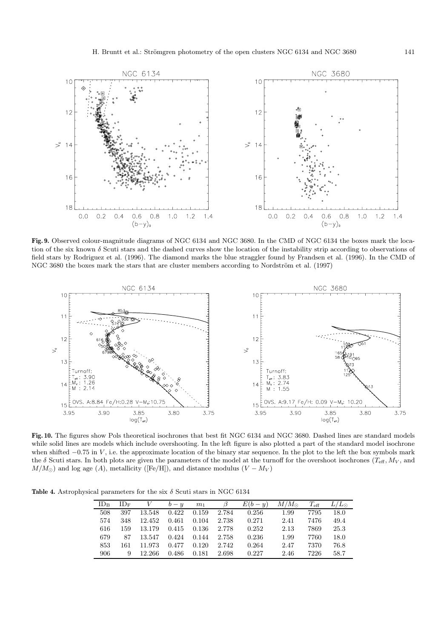

**Fig. 9.** Observed colour-magnitude diagrams of NGC 6134 and NGC 3680. In the CMD of NGC 6134 the boxes mark the location of the six known  $\delta$  Scuti stars and the dashed curves show the location of the instability strip according to observations of field stars by Rodriguez et al. (1996). The diamond marks the blue straggler found by Frandsen et al. (1996). In the CMD of NGC 3680 the boxes mark the stars that are cluster members according to Nordström et al. (1997)



**Fig. 10.** The figures show Pols theoretical isochrones that best fit NGC 6134 and NGC 3680. Dashed lines are standard models while solid lines are models which include overshooting. In the left figure is also plotted a part of the standard model isochrone when shifted  $-0.75$  in V, i.e. the approximate location of the binary star sequence. In the plot to the left the box symbols mark the  $\delta$  Scuti stars. In both plots are given the parameters of the model at the turnoff for the overshoot isochrones ( $T_{\text{eff}}$ ,  $M_V$ , and  $M/M_{\odot}$ ) and log age (A), metallicity ([Fe/H]), and distance modulus ( $V - M_V$ )

**Table 4.** Astrophysical parameters for the six  $\delta$  Scuti stars in NGC 6134

| $ID_{B}$ | $ID_F$ |              | $V$ $b-u$ $m_1$   |       | $\beta$ | $E(b - y)$ | $M/M_{\odot}$ | $T_{\rm eff}$ | $L/L_{\odot}$ |
|----------|--------|--------------|-------------------|-------|---------|------------|---------------|---------------|---------------|
| 508      | 397    |              | 13.548 0.422      | 0.159 | 2.784   | 0.256      | 1.99          | 7795          | 18.0          |
| 574      | 348    | 12.452 0.461 |                   | 0.104 | 2.738   | 0.271      | 2.41          | 7476          | 49.4          |
| 616      | 159    | 13.179       | 0.415 0.136 2.778 |       |         | 0.252      | 2.13          | 7869          | 25.3          |
| 679      | 87     | 13.547 0.424 |                   | 0.144 | 2.758   | 0.236      | 1.99          | 7760          | 18.0          |
| 853      | 161    | 11.973       | $0.477$ $0.120$   |       | 2.742   | 0.264      | 2.47          | 7370          | 76.8          |
| 906-     | 9      | -- 12.266    | 0.486             | 0.181 | 2.698   | 0.227      | 2.46          | 7226          | 58.7          |
|          |        |              |                   |       |         |            |               |               |               |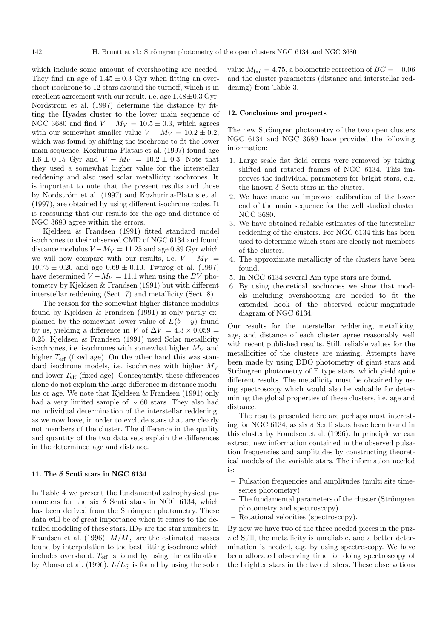which include some amount of overshooting are needed. They find an age of  $1.45 \pm 0.3$  Gyr when fitting an overshoot isochrone to 12 stars around the turnoff, which is in excellent agreement with our result, i.e. age  $1.48\pm0.3$  Gyr. Nordström et al. (1997) determine the distance by fitting the Hyades cluster to the lower main sequence of NGC 3680 and find  $V - M_V = 10.5 \pm 0.3$ , which agrees with our somewhat smaller value  $V - M_V = 10.2 \pm 0.2$ , which was found by shifting the isochrone to fit the lower main sequence. Kozhurina-Platais et al. (1997) found age  $1.6 \pm 0.15$  Gyr and  $V - M_V = 10.2 \pm 0.3$ . Note that they used a somewhat higher value for the interstellar reddening and also used solar metallicity isochrones. It is important to note that the present results and those by Nordström et al. (1997) and Kozhurina-Platais et al. (1997), are obtained by using different isochrone codes. It is reassuring that our results for the age and distance of NGC 3680 agree within the errors.

Kjeldsen & Frandsen (1991) fitted standard model isochrones to their observed CMD of NGC 6134 and found distance modulus  $V - M_V = 11.25$  and age 0.89 Gyr which we will now compare with our results, i.e.  $V - M_V =$  $10.75 \pm 0.20$  and age  $0.69 \pm 0.10$ . Twarog et al. (1997) have determined  $V - M_V = 11.1$  when using the BV photometry by Kjeldsen & Frandsen (1991) but with different interstellar reddening (Sect. 7) and metallicity (Sect. 8).

The reason for the somewhat higher distance modulus found by Kjeldsen & Frandsen (1991) is only partly explained by the somewhat lower value of  $E(b - y)$  found by us, yielding a difference in V of  $\Delta V = 4.3 \times 0.059$  = 0.25. Kjeldsen & Frandsen (1991) used Solar metallicity isochrones, i.e. isochrones with somewhat higher  $M_V$  and higher  $T_{\text{eff}}$  (fixed age). On the other hand this was standard isochrone models, i.e. isochrones with higher  $M_V$ and lower  $T_{\text{eff}}$  (fixed age). Consequently, these differences alone do not explain the large difference in distance modulus or age. We note that Kjeldsen & Frandsen (1991) only had a very limited sample of ∼ 60 stars. They also had no individual determination of the interstellar reddening, as we now have, in order to exclude stars that are clearly not members of the cluster. The difference in the quality and quantity of the two data sets explain the differences in the determined age and distance.

## **11. The** *δ* **Scuti stars in NGC 6134**

In Table 4 we present the fundamental astrophysical parameters for the six  $\delta$  Scuti stars in NGC 6134, which has been derived from the Strömgren photometry. These data will be of great importance when it comes to the detailed modeling of these stars.  $ID_F$  are the star numbers in Frandsen et al. (1996).  $M/M_{\odot}$  are the estimated masses found by interpolation to the best fitting isochrone which includes overshoot.  $T_{\text{eff}}$  is found by using the calibration by Alonso et al. (1996).  $L/L_{\odot}$  is found by using the solar value  $M_{\text{bol}} = 4.75$ , a bolometric correction of  $BC = -0.06$ and the cluster parameters (distance and interstellar reddening) from Table 3.

## **12. Conclusions and prospects**

The new Strömgren photometry of the two open clusters NGC 6134 and NGC 3680 have provided the following information:

- 1. Large scale flat field errors were removed by taking shifted and rotated frames of NGC 6134. This improves the individual parameters for bright stars, e.g. the known  $\delta$  Scuti stars in the cluster.
- 2. We have made an improved calibration of the lower end of the main sequence for the well studied cluster NGC 3680.
- 3. We have obtained reliable estimates of the interstellar reddening of the clusters. For NGC 6134 this has been used to determine which stars are clearly not members of the cluster.
- 4. The approximate metallicity of the clusters have been found.
- 5. In NGC 6134 several Am type stars are found.
- 6. By using theoretical isochrones we show that models including overshooting are needed to fit the extended hook of the observed colour-magnitude diagram of NGC 6134.

Our results for the interstellar reddening, metallicity, age, and distance of each cluster agree reasonably well with recent published results. Still, reliable values for the metallicities of the clusters are missing. Attempts have been made by using DDO photometry of giant stars and Strömgren photometry of F type stars, which yield quite different results. The metallicity must be obtained by using spectroscopy which would also be valuable for determining the global properties of these clusters, i.e. age and distance.

The results presented here are perhaps most interesting for NGC 6134, as six  $\delta$  Scuti stars have been found in this cluster by Frandsen et al. (1996). In principle we can extract new information contained in the observed pulsation frequencies and amplitudes by constructing theoretical models of the variable stars. The information needed is:

- **–** Pulsation frequencies and amplitudes (multi site timeseries photometry).
- The fundamental parameters of the cluster (Strömgren photometry and spectroscopy).
- **–** Rotational velocities (spectroscopy).

By now we have two of the three needed pieces in the puzzle! Still, the metallicity is unreliable, and a better determination is needed, e.g. by using spectroscopy. We have been allocated observing time for doing spectroscopy of the brighter stars in the two clusters. These observations